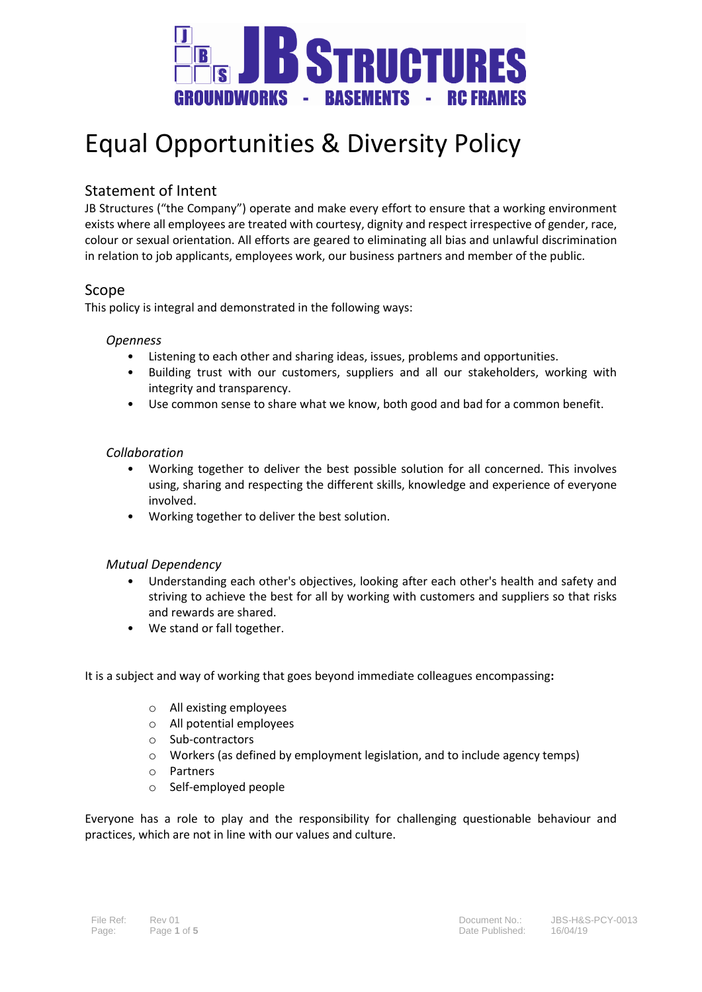

# Equal Opportunities & Diversity Policy

# Statement of Intent

JB Structures ("the Company") operate and make every effort to ensure that a working environment exists where all employees are treated with courtesy, dignity and respect irrespective of gender, race, colour or sexual orientation. All efforts are geared to eliminating all bias and unlawful discrimination in relation to job applicants, employees work, our business partners and member of the public.

## Scope

This policy is integral and demonstrated in the following ways:

## *Openness*

- Listening to each other and sharing ideas, issues, problems and opportunities.
- Building trust with our customers, suppliers and all our stakeholders, working with integrity and transparency.
- Use common sense to share what we know, both good and bad for a common benefit.

#### *Collaboration*

- Working together to deliver the best possible solution for all concerned. This involves using, sharing and respecting the different skills, knowledge and experience of everyone involved.
- Working together to deliver the best solution.

## *Mutual Dependency*

- Understanding each other's objectives, looking after each other's health and safety and striving to achieve the best for all by working with customers and suppliers so that risks and rewards are shared.
- We stand or fall together.

It is a subject and way of working that goes beyond immediate colleagues encompassing**:** 

- o All existing employees
- o All potential employees
- o Sub-contractors
- o Workers (as defined by employment legislation, and to include agency temps)
- o Partners
- o Self-employed people

Everyone has a role to play and the responsibility for challenging questionable behaviour and practices, which are not in line with our values and culture.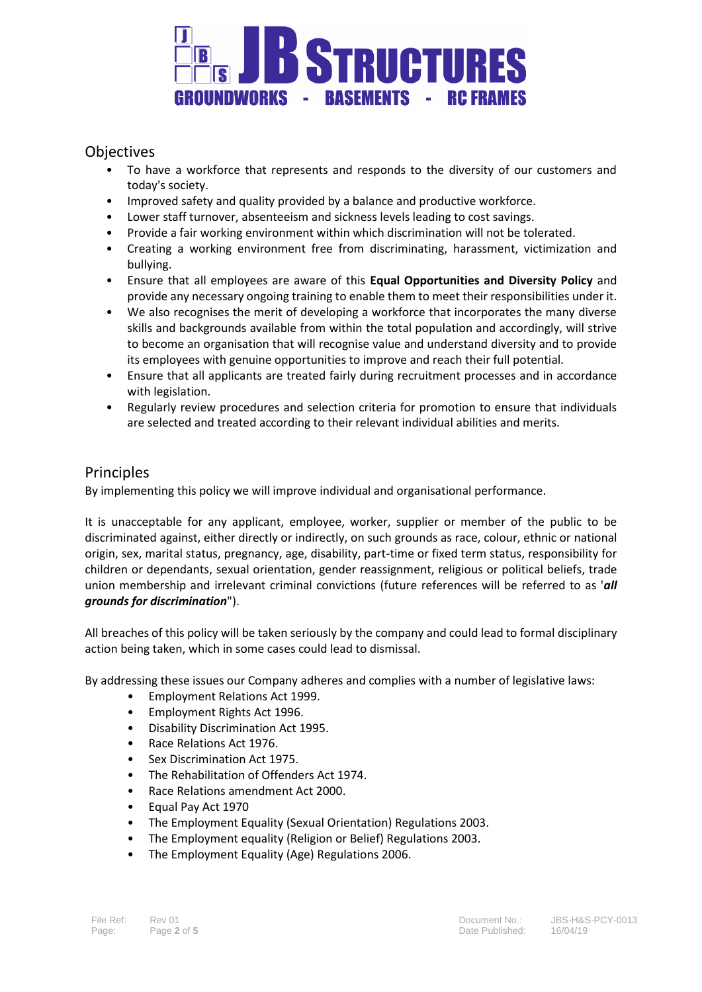

# **Objectives**

- To have a workforce that represents and responds to the diversity of our customers and today's society.
- Improved safety and quality provided by a balance and productive workforce.
- Lower staff turnover, absenteeism and sickness levels leading to cost savings.
- Provide a fair working environment within which discrimination will not be tolerated.
- Creating a working environment free from discriminating, harassment, victimization and bullying.
- Ensure that all employees are aware of this **Equal Opportunities and Diversity Policy** and provide any necessary ongoing training to enable them to meet their responsibilities under it.
- We also recognises the merit of developing a workforce that incorporates the many diverse skills and backgrounds available from within the total population and accordingly, will strive to become an organisation that will recognise value and understand diversity and to provide its employees with genuine opportunities to improve and reach their full potential.
- Ensure that all applicants are treated fairly during recruitment processes and in accordance with legislation.
- Regularly review procedures and selection criteria for promotion to ensure that individuals are selected and treated according to their relevant individual abilities and merits.

## **Principles**

By implementing this policy we will improve individual and organisational performance.

It is unacceptable for any applicant, employee, worker, supplier or member of the public to be discriminated against, either directly or indirectly, on such grounds as race, colour, ethnic or national origin, sex, marital status, pregnancy, age, disability, part-time or fixed term status, responsibility for children or dependants, sexual orientation, gender reassignment, religious or political beliefs, trade union membership and irrelevant criminal convictions (future references will be referred to as '*all grounds for discrimination*").

All breaches of this policy will be taken seriously by the company and could lead to formal disciplinary action being taken, which in some cases could lead to dismissal.

By addressing these issues our Company adheres and complies with a number of legislative laws:

- Employment Relations Act 1999.
- Employment Rights Act 1996.
- Disability Discrimination Act 1995.
- Race Relations Act 1976.
- Sex Discrimination Act 1975.
- The Rehabilitation of Offenders Act 1974.
- Race Relations amendment Act 2000.
- Equal Pay Act 1970
- The Employment Equality (Sexual Orientation) Regulations 2003.
- The Employment equality (Religion or Belief) Regulations 2003.
- The Employment Equality (Age) Regulations 2006.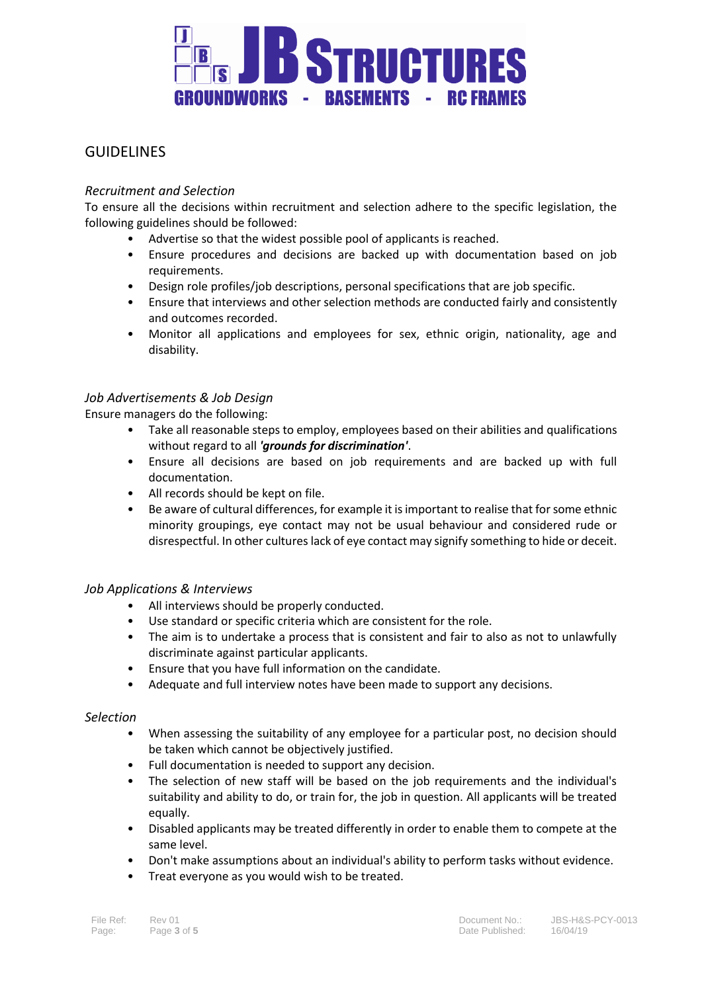

## GUIDELINES

## *Recruitment and Selection*

To ensure all the decisions within recruitment and selection adhere to the specific legislation, the following guidelines should be followed:

- Advertise so that the widest possible pool of applicants is reached.
- Ensure procedures and decisions are backed up with documentation based on job requirements.
- Design role profiles/job descriptions, personal specifications that are job specific.
- Ensure that interviews and other selection methods are conducted fairly and consistently and outcomes recorded.
- Monitor all applications and employees for sex, ethnic origin, nationality, age and disability.

## *Job Advertisements & Job Design*

Ensure managers do the following:

- Take all reasonable steps to employ, employees based on their abilities and qualifications without regard to all *'grounds for discrimination'*.
- Ensure all decisions are based on job requirements and are backed up with full documentation.
- All records should be kept on file.
- Be aware of cultural differences, for example it is important to realise that for some ethnic minority groupings, eye contact may not be usual behaviour and considered rude or disrespectful. In other cultures lack of eye contact may signify something to hide or deceit.

## *Job Applications & Interviews*

- All interviews should be properly conducted.
- Use standard or specific criteria which are consistent for the role.
- The aim is to undertake a process that is consistent and fair to also as not to unlawfully discriminate against particular applicants.
- Ensure that you have full information on the candidate.
- Adequate and full interview notes have been made to support any decisions.

## *Selection*

- When assessing the suitability of any employee for a particular post, no decision should be taken which cannot be objectively justified.
- Full documentation is needed to support any decision.
- The selection of new staff will be based on the job requirements and the individual's suitability and ability to do, or train for, the job in question. All applicants will be treated equally.
- Disabled applicants may be treated differently in order to enable them to compete at the same level.
- Don't make assumptions about an individual's ability to perform tasks without evidence.
- Treat everyone as you would wish to be treated.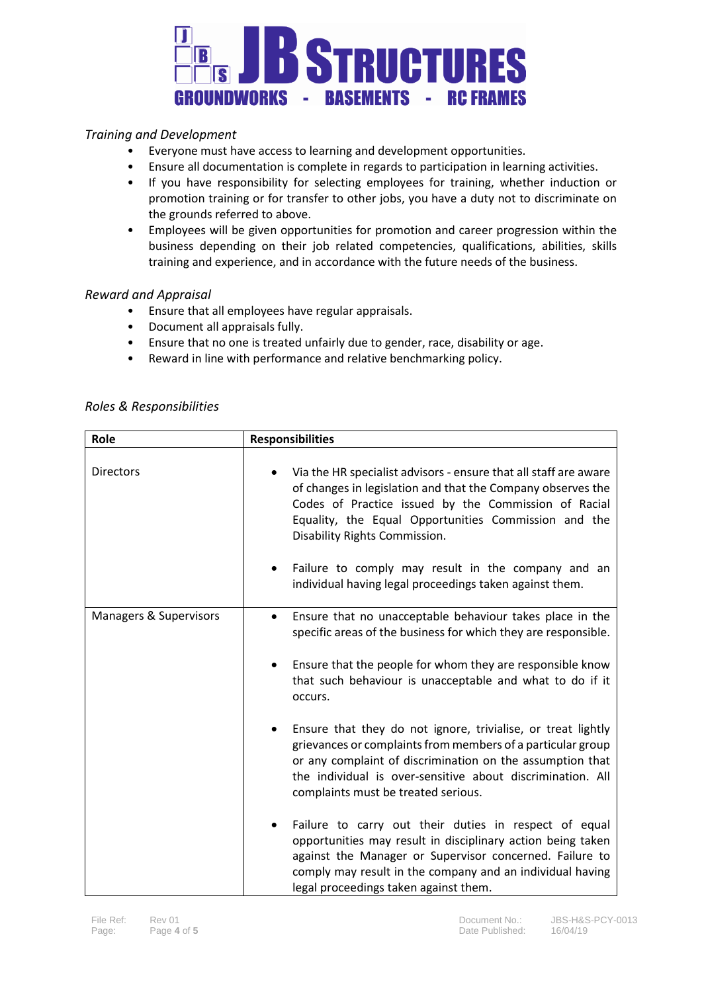

## *Training and Development*

- Everyone must have access to learning and development opportunities.
- Ensure all documentation is complete in regards to participation in learning activities.
- If you have responsibility for selecting employees for training, whether induction or promotion training or for transfer to other jobs, you have a duty not to discriminate on the grounds referred to above.
- Employees will be given opportunities for promotion and career progression within the business depending on their job related competencies, qualifications, abilities, skills training and experience, and in accordance with the future needs of the business.

## *Reward and Appraisal*

- Ensure that all employees have regular appraisals.
- Document all appraisals fully.
- Ensure that no one is treated unfairly due to gender, race, disability or age.
- Reward in line with performance and relative benchmarking policy.

#### *Roles & Responsibilities*

| Role                   | <b>Responsibilities</b>                                                                                                                                                                                                                                                                                                                                                                           |
|------------------------|---------------------------------------------------------------------------------------------------------------------------------------------------------------------------------------------------------------------------------------------------------------------------------------------------------------------------------------------------------------------------------------------------|
| <b>Directors</b>       | Via the HR specialist advisors - ensure that all staff are aware<br>of changes in legislation and that the Company observes the<br>Codes of Practice issued by the Commission of Racial<br>Equality, the Equal Opportunities Commission and the<br>Disability Rights Commission.<br>Failure to comply may result in the company and an<br>individual having legal proceedings taken against them. |
| Managers & Supervisors | Ensure that no unacceptable behaviour takes place in the<br>٠<br>specific areas of the business for which they are responsible.<br>Ensure that the people for whom they are responsible know<br>that such behaviour is unacceptable and what to do if it<br>occurs.                                                                                                                               |
|                        | Ensure that they do not ignore, trivialise, or treat lightly<br>grievances or complaints from members of a particular group<br>or any complaint of discrimination on the assumption that<br>the individual is over-sensitive about discrimination. All<br>complaints must be treated serious.                                                                                                     |
|                        | Failure to carry out their duties in respect of equal<br>opportunities may result in disciplinary action being taken<br>against the Manager or Supervisor concerned. Failure to<br>comply may result in the company and an individual having<br>legal proceedings taken against them.                                                                                                             |